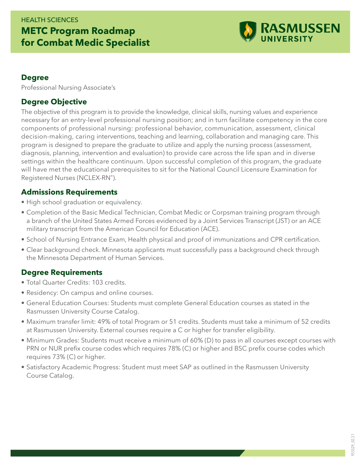## HEALTH SCIENCES **METC Program Roadmap for Combat Medic Specialist**



#### **Degree**

Professional Nursing Associate's

### **Degree Objective**

The objective of this program is to provide the knowledge, clinical skills, nursing values and experience necessary for an entry-level professional nursing position; and in turn facilitate competency in the core components of professional nursing: professional behavior, communication, assessment, clinical decision-making, caring interventions, teaching and learning, collaboration and managing care. This program is designed to prepare the graduate to utilize and apply the nursing process (assessment, diagnosis, planning, intervention and evaluation) to provide care across the life span and in diverse settings within the healthcare continuum. Upon successful completion of this program, the graduate will have met the educational prerequisites to sit for the National Council Licensure Examination for Registered Nurses (NCLEX-RN®).

#### **Admissions Requirements**

- High school graduation or equivalency.
- Completion of the Basic Medical Technician, Combat Medic or Corpsman training program through a branch of the United States Armed Forces evidenced by a Joint Services Transcript (JST) or an ACE military transcript from the American Council for Education (ACE).
- School of Nursing Entrance Exam, Health physical and proof of immunizations and CPR certification.
- Clear background check. Minnesota applicants must successfully pass a background check through the Minnesota Department of Human Services.

#### **Degree Requirements**

- Total Quarter Credits: 103 credits.
- Residency: On campus and online courses.
- General Education Courses: Students must complete General Education courses as stated in the Rasmussen University Course Catalog.
- Maximum transfer limit: 49% of total Program or 51 credits. Students must take a minimum of 52 credits at Rasmussen University. External courses require a C or higher for transfer eligibility.
- Minimum Grades: Students must receive a minimum of 60% (D) to pass in all courses except courses with PRN or NUR prefix course codes which requires 78% (C) or higher and BSC prefix course codes which requires 73% (C) or higher.
- Satisfactory Academic Progress: Student must meet SAP as outlined in the Rasmussen University Course Catalog.